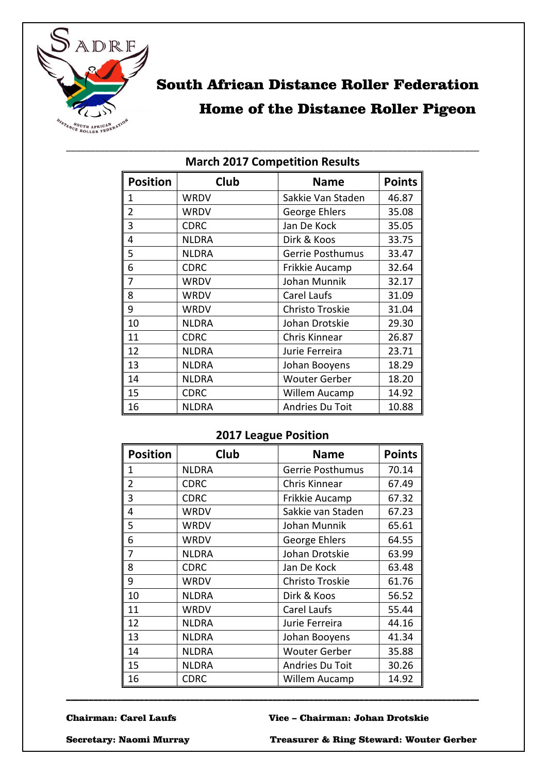

# South African Distance Roller Federation Home of the Distance Roller Pigeon

| <b>Position</b> | Club         | <b>Name</b>            | <b>Points</b> |
|-----------------|--------------|------------------------|---------------|
| $\mathbf{1}$    | <b>WRDV</b>  | Sakkie Van Staden      | 46.87         |
| $\overline{2}$  | <b>WRDV</b>  | George Ehlers          | 35.08         |
| 3               | <b>CDRC</b>  | Jan De Kock            | 35.05         |
| 4               | <b>NLDRA</b> | Dirk & Koos            | 33.75         |
| 5               | <b>NLDRA</b> | Gerrie Posthumus       | 33.47         |
| 6               | <b>CDRC</b>  | Frikkie Aucamp         | 32.64         |
| $\overline{7}$  | <b>WRDV</b>  | Johan Munnik           | 32.17         |
| 8               | WRDV         | Carel Laufs            | 31.09         |
| 9               | WRDV         | <b>Christo Troskie</b> | 31.04         |
| 10              | <b>NLDRA</b> | Johan Drotskie         | 29.30         |
| 11              | <b>CDRC</b>  | Chris Kinnear          | 26.87         |
| 12              | <b>NLDRA</b> | Jurie Ferreira         | 23.71         |
| 13              | <b>NLDRA</b> | Johan Booyens          | 18.29         |
| 14              | <b>NLDRA</b> | <b>Wouter Gerber</b>   | 18.20         |
| 15              | <b>CDRC</b>  | Willem Aucamp          | 14.92         |
| 16              | <b>NLDRA</b> | Andries Du Toit        | 10.88         |

#### \_\_\_\_\_\_\_\_\_\_\_\_\_\_\_\_\_\_\_\_\_\_\_\_\_\_\_\_\_\_\_\_\_\_\_\_\_\_\_\_\_\_\_\_\_\_\_\_\_\_\_\_\_\_\_\_\_\_\_\_\_\_\_\_\_\_\_\_\_\_\_\_\_\_\_\_\_\_\_\_\_\_\_\_\_\_ **March 2017 Competition Results**

## **2017 League Position**

| <b>Position</b> | Club         | <b>Name</b>             | <b>Points</b> |
|-----------------|--------------|-------------------------|---------------|
| 1               | <b>NLDRA</b> | <b>Gerrie Posthumus</b> | 70.14         |
| 2               | <b>CDRC</b>  | Chris Kinnear           | 67.49         |
| 3               | <b>CDRC</b>  | Frikkie Aucamp          | 67.32         |
| 4               | WRDV         | Sakkie van Staden       | 67.23         |
| 5               | WRDV         | Johan Munnik            | 65.61         |
| 6               | WRDV         | George Ehlers           | 64.55         |
| 7               | <b>NLDRA</b> | Johan Drotskie          | 63.99         |
| 8               | <b>CDRC</b>  | Jan De Kock             | 63.48         |
| 9               | WRDV         | Christo Troskie         | 61.76         |
| 10              | <b>NLDRA</b> | Dirk & Koos             | 56.52         |
| 11              | WRDV         | Carel Laufs             | 55.44         |
| 12              | <b>NLDRA</b> | Jurie Ferreira          | 44.16         |
| 13              | <b>NLDRA</b> | Johan Booyens           | 41.34         |
| 14              | <b>NLDRA</b> | <b>Wouter Gerber</b>    | 35.88         |
| 15              | <b>NLDRA</b> | Andries Du Toit         | 30.26         |
| 16              | <b>CDRC</b>  | Willem Aucamp           | 14.92         |

\_\_\_\_\_\_\_\_\_\_\_\_\_\_\_\_\_\_\_\_\_\_\_\_\_\_\_\_\_\_\_\_\_\_\_\_\_\_\_\_\_\_\_\_\_\_\_\_\_\_\_\_\_\_\_\_\_\_\_\_\_\_\_\_\_\_\_\_\_\_\_\_\_\_\_\_\_\_\_\_\_\_\_\_\_\_\_\_\_\_

#### Chairman: Carel Laufs Vice – Chairman: Johan Drotskie

Secretary: Naomi Murray Treasurer & Ring Steward: Wouter Gerber